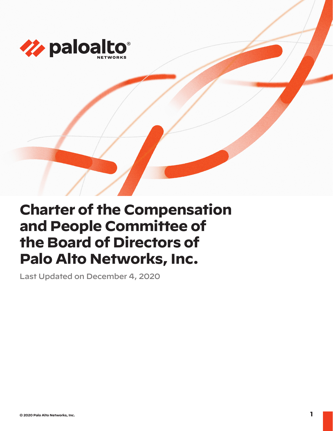

# **Charter of the Compensation and People Committee of the Board of Directors of Palo Alto Networks, Inc.**

Last Updated on December 4, 2020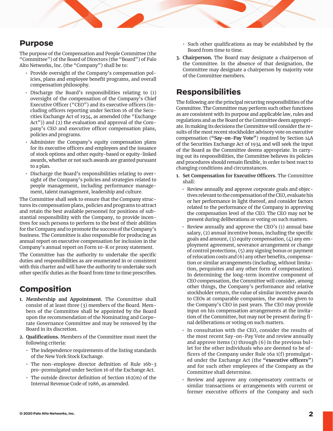## **Purpose**

The purpose of the Compensation and People Committee (the "Committee") of the Board of Directors (the "Board") of Palo Alto Networks, Inc. (the "Company") shall be to:

- Provide oversight of the Company's compensation policies, plans and employee benefit programs, and overall compensation philosophy.
- Discharge the Board's responsibilities relating to (1) oversight of the compensation of the Company's Chief Executive Officer ("CEO") and its executive officers (including officers reporting under Section 16 of the Securities Exchange Act of 1934, as amended (the "Exchange Act")) and (2) the evaluation and approval of the Company's CEO and executive officer compensation plans, policies and programs.
- Administer the Company's equity compensation plans for its executive officers and employees and the issuance of stock options and other equity-based or equity-linked awards, whether or not such awards are granted pursuant to a plan.
- Discharge the Board's responsibilities relating to oversight of the Company's policies and strategies related to people management, including performance management, talent management, leadership and culture.

The Committee shall seek to ensure that the Company structures its compensation plans, policies and programs to attract and retain the best available personnel for positions of substantial responsibility with the Company, to provide incentives for such persons to perform to the best of their abilities for the Company and to promote the success of the Company's business. The Committee is also responsible for producing an annual report on executive compensation for inclusion in the Company's annual report on Form 10-K or proxy statement.

The Committee has the authority to undertake the specific duties and responsibilities as are enumerated in or consistent with this charter and will have the authority to undertake such other specific duties as the Board from time to time prescribes.

# **Composition**

- **1. Membership and Appointment.** The Committee shall consist of at least three (3) members of the Board. Members of the Committee shall be appointed by the Board upon the recommendation of the Nominating and Corporate Governance Committee and may be removed by the Board in its discretion.
- **2. Qualifications.** Members of the Committee must meet the following criteria:
	- The independence requirements of the listing standards of the New York Stock Exchange.
	- The non-employee director definition of Rule 16b-3 pro-promulgated under Section 16 of the Exchange Act.
	- The outside director definition of Section 162(m) of the Internal Revenue Code of 1986, as amended.
- Such other qualifications as may be established by the Board from time to time.
- **3. Chairperson.** The Board may designate a chairperson of the Committee. In the absence of that designation, the Committee may designate a chairperson by majority vote of the Committee members.

# **Responsibilities**

The following are the principal recurring responsibilities of the Committee. The Committee may perform such other functions as are consistent with its purpose and applicable law, rules and regulations and as the Board or the Committee deem appropriate. In making its decisions the Committee will consider the results of the most recent stockholder advisory vote on executive compensation (**"Say-on-Pay Vote"**) required by Section 14A of the Securities Exchange Act of 1934 and will seek the input of the Board as the Committee deems appropriate. In carrying out its responsibilities, the Committee believes its policies and procedures should remain flexible, in order to best react to changing conditions and circumstances.

- **1. Set Compensation for Executive Officers.** The Committee shall:
	- Review annually and approve corporate goals and objectives relevant to the compensation of the CEO, evaluate his or her performance in light thereof, and consider factors related to the performance of the Company in approving the compensation level of the CEO. The CEO may not be present during deliberations or voting on such matters.
	- Review annually and approve the CEO's (1) annual base salary, (2) annual incentive bonus, including the specific goals and amount, (3) equity compensation, (4) any employment agreement, severance arrangement or change of control protections, (5) any signing bonus or payment of relocation costs and (6) any other benefits, compensation or similar arrangements (including, without limitation, perquisites and any other form of compensation). In determining the long-term incentive component of CEO compensation, the Committee will consider, among other things, the Company's performance and relative stockholder return, the value of similar incentive awards to CEOs at comparable companies, the awards given to the Company's CEO in past years. The CEO may provide input on his compensation arrangements at the invitation of the Committee, but may not be present during final deliberations or voting on such matters.
	- In consultation with the CEO, consider the results of the most recent Say-on-Pay Vote and review annually and approve items (1) through (6) in the previous bullet for the other individuals who are deemed to be officers of the Company under Rule 16a 1(f) promulgated under the Exchange Act (the **"executive officers"**) and for such other employees of the Company as the Committee shall determine.
	- Review and approve any compensatory contracts or similar transactions or arrangements with current or former executive officers of the Company and such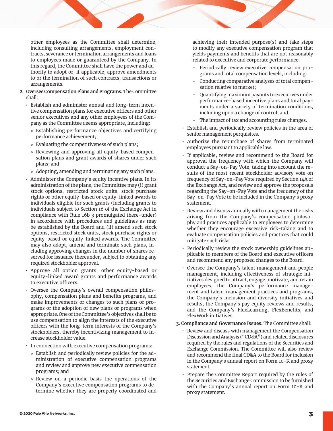other employees as the Committee shall determine, including consulting arrangements, employment contracts, severance or termination arrangements and loans to employees made or guaranteed by the Company. In this regard, the Committee shall have the power and authority to adopt or, if applicable, approve amendments to or the termination of such contracts, transactions or arrangements.

### **2. Oversee Compensation Plans and Programs.** The Committee shall:

- Establish and administer annual and long-term incentive compensation plans for executive officers and other senior executives and any other employees of the Company as the Committee deems appropriate, including:
	- » Establishing performance objectives and certifying performance achievement;
	- » Evaluating the competitiveness of such plans;
	- » Reviewing and approving all equity-based compensation plans and grant awards of shares under such plans; and
	- » Adopting, amending and terminating any such plans.
- Administer the Company's equity incentive plans. In its administration of the plans, the Committee may (i) grant stock options, restricted stock units, stock purchase rights or other equity-based or equity-linked awards to individuals eligible for such grants (including grants to individuals subject to Section 16 of the Exchange Act in compliance with Rule 16b 3 promulgated there-under) in accordance with procedures and guidelines as may be established by the Board and (ii) amend such stock options, restricted stock units, stock purchase rights or equity-based or equity-linked awards. The Committee may also adopt, amend and terminate such plans, including approving changes in the number of shares reserved for issuance thereunder, subject to obtaining any required stockholder approval.
- Approve all option grants, other equity-based or equity-linked award grants and performance awards to executive officers.
- Oversee the Company's overall compensation philosophy, compensation plans and benefits programs, and make improvements or changes to such plans or programs or the adoption of new plans or programs when appropriate. One of the Committee's objectives shall be to use compensation to align the interests of the executive officers with the long-term interests of the Company's stockholders, thereby incentivizing management to increase stockholder value.
- In connection with executive compensation programs:
	- » Establish and periodically review policies for the administration of executive compensation programs and review and approve new executive compensation programs; and
	- » Review on a periodic basis the operations of the Company's executive compensation programs to determine whether they are properly coordinated and

achieving their intended purpose(s) and take steps to modify any executive compensation program that yields payments and benefits that are not reasonably related to executive and corporate performance:

- Periodically review executive compensation programs and total compensation levels, including:
- Conducting comparative analyses of total compensation relative to market;
- Quantifying maximum payouts to executives under performance-based incentive plans and total payments under a variety of termination conditions, including upon a change of control; and
- The impact of tax and accounting rules changes.
- Establish and periodically review policies in the area of senior management perquisites.
- Authorize the repurchase of shares from terminated employees pursuant to applicable law.
- If applicable, review and recommend to the Board for approval the frequency with which the Company will conduct a Say-on-Pay Vote, taking into account the results of the most recent stockholder advisory vote on frequency of Say-on-Pay Vote required by Section 14A of the Exchange Act, and review and approve the proposals regarding the Say-on-Pay Vote and the frequency of the Say-on-Pay Vote to be included in the Company's proxy statement.
- Review and discuss annually with management the risks arising from the Company's compensation philosophy and practices applicable to employees to determine whether they encourage excessive risk-taking and to evaluate compensation policies and practices that could mitigate such risks.
- Periodically review the stock ownership guidelines applicable to members of the Board and executive officers and recommend any proposed changes to the Board.
- Oversee the Company's talent management and people management, including effectiveness of strategic initiatives designed to attract, engage, motivate, and retain employees, the Company's performance management and talent management practices and programs, the Company's inclusion and diversity initiatives and results, the Company's pay equity reviews and results, and the Company's FlexLearning, FlexBenefits, and FlexWork initiatives.
- **3. Compliance and Governance Issues.** The Committee shall:
	- Review and discuss with management the Compensation Discussion and Analysis ("CD&A") and related disclosures required by the rules and regulations of the Securities and Exchange Commission. The Committee will also review and recommend the final CD&A to the Board for inclusion in the Company's annual report on Form 10-K and proxy statement.
	- Prepare the Committee Report required by the rules of the Securities and Exchange Commission to be furnished with the Company's annual report on Form 10-K and proxy statement.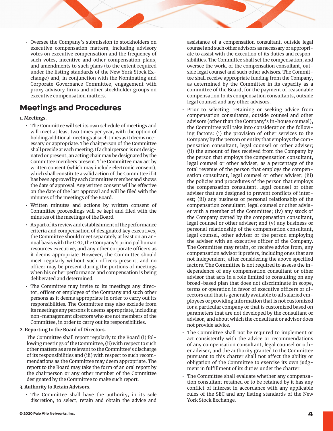• Oversee the Company's submission to stockholders on executive compensation matters, including advisory votes on executive compensation and the frequency of such votes, incentive and other compensation plans, and amendments to such plans (to the extent required under the listing standards of the New York Stock Exchange) and, in conjunction with the Nominating and Corporate Governance Committee, engagement with proxy advisory firms and other stockholder groups on executive compensation matters.

# **Meetings and Procedures**

## **1. Meetings.**

- The Committee will set its own schedule of meetings and will meet at least two times per year, with the option of holding additional meetings at such times as it deems necessary or appropriate. The chairperson of the Committee shall preside at each meeting. If a chairperson is not designated or present, an acting chair may be designated by the Committee members present. The Committee may act by written consent (which may include electronic consent), which shall constitute a valid action of the Committee if it has been approved by each Committee member and shows the date of approval. Any written consent will be effective on the date of the last approval and will be filed with the minutes of the meetings of the Board.
- Written minutes and actions by written consent of Committee proceedings will be kept and filed with the minutes of the meetings of the Board.
- As part of its review and establishment of the performance criteria and compensation of designated key executives, the Committee should meet separately at least on an annual basis with the CEO, the Company's principal human resources executive, and any other corporate officers as it deems appropriate. However, the Committee should meet regularly without such officers present, and no officer may be present during the portions of meetings when his or her performance and compensation is being deliberated and determined.
- The Committee may invite to its meetings any director, officer or employee of the Company and such other persons as it deems appropriate in order to carry out its responsibilities. The Committee may also exclude from its meetings any persons it deems appropriate, including non-management directors who are not members of the Committee, in order to carry out its responsibilities.

## **2. Reporting to the Board of Directors.**

The Committee shall report regularly to the Board (i) following meetings of the Committee, (ii) with respect to such other matters as are relevant to the Committee's discharge of its responsibilities and (iii) with respect to such recommendations as the Committee may deem appropriate. The report to the Board may take the form of an oral report by the chairperson or any other member of the Committee designated by the Committee to make such report.

## **3. Authority to Retain Advisors.**

• The Committee shall have the authority, in its sole discretion, to select, retain and obtain the advice and

assistance of a compensation consultant, outside legal counsel and such other advisors as necessary or appropriate to assist with the execution of its duties and responsibilities. The Committee shall set the compensation, and oversee the work, of the compensation consultant, outside legal counsel and such other advisors. The Committee shall receive appropriate funding from the Company, as determined by the Committee in its capacity as a committee of the Board, for the payment of reasonable compensation to its compensation consultants, outside legal counsel and any other advisors.

- Prior to selecting, retaining or seeking advice from compensation consultants, outside counsel and other advisors (other than the Company's in-house counsel), the Committee will take into consideration the following factors: (i) the provision of other services to the Company by the person or entity that employs the compensation consultant, legal counsel or other adviser; (ii) the amount of fees received from the Company by the person that employs the compensation consultant, legal counsel or other adviser, as a percentage of the total revenue of the person that employs the compensation consultant, legal counsel or other adviser; (iii) the policies and procedures of the person that employs the compensation consultant, legal counsel or other adviser that are designed to prevent conflicts of interest; (iii) any business or personal relationship of the compensation consultant, legal counsel or other adviser with a member of the Committee; (iv) any stock of the Company owned by the compensation consultant, legal counsel or other adviser; and (v) any business or personal relationship of the compensation consultant, legal counsel, other adviser or the person employing the adviser with an executive officer of the Company. The Committee may retain, or receive advice from, any compensation advisor it prefers, including ones that are not independent, after considering the above specified factors. The Committee is not required to assess the independence of any compensation consultant or other advisor that acts in a role limited to consulting on any broad-based plan that does not discriminate in scope, terms or operation in favor of executive officers or directors and that is generally available to all salaried employees or providing information that is not customized for a particular company or that is customized based on parameters that are not developed by the consultant or advisor, and about which the consultant or advisor does not provide advice.
- The Committee shall not be required to implement or act consistently with the advice or recommendations of any compensation consultant, legal counsel or other adviser, and the authority granted to the Committee pursuant to this charter shall not affect the ability or obligation of the Committee to exercise its own judgment in fulfillment of its duties under the charter.
- The Committee shall evaluate whether any compensation consultant retained or to be retained by it has any conflict of interest in accordance with any applicable rules of the SEC and any listing standards of the New York Stock Exchange.